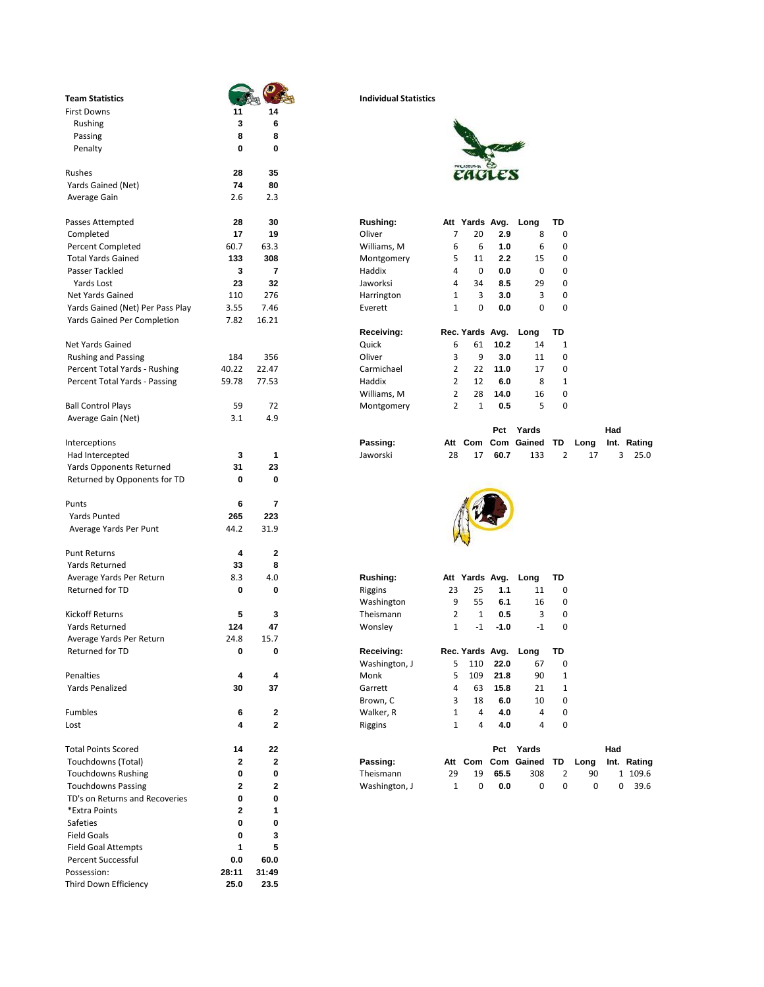| <b>Team Statistics</b>           |             |                | <b>Individual Statistics</b> |                |                |        |                      |                         |
|----------------------------------|-------------|----------------|------------------------------|----------------|----------------|--------|----------------------|-------------------------|
| <b>First Downs</b>               | 11          | 14             |                              |                |                |        |                      |                         |
| Rushing                          | 3           | 6              |                              |                |                |        |                      |                         |
| Passing                          | 8           | 8              |                              |                |                |        |                      |                         |
| Penalty                          | 0           | 0              |                              |                |                |        |                      |                         |
| Rushes                           | 28          | 35             |                              |                |                |        |                      |                         |
| Yards Gained (Net)               | 74          | 80             |                              |                |                |        |                      |                         |
| Average Gain                     | 2.6         | 2.3            |                              |                |                |        |                      |                         |
|                                  |             |                |                              |                |                |        |                      |                         |
| Passes Attempted                 | 28          | 30             | Rushing:                     |                | Att Yards Avg. |        | Long                 | TD                      |
| Completed                        | 17          | 19             | Oliver                       | 7              | 20             | 2.9    | 8                    | 0                       |
| Percent Completed                | 60.7        | 63.3           | Williams, M                  | 6              | 6              | 1.0    | 6                    | 0                       |
| <b>Total Yards Gained</b>        | 133         | 308            | Montgomery                   | 5              | 11             | 2.2    | 15                   | 0                       |
| Passer Tackled                   | 3           | $\overline{7}$ | Haddix                       | 4              | 0              | 0.0    | 0                    | 0                       |
| Yards Lost                       | 23          | 32             | Jaworksi                     | 4              | 34             | 8.5    | 29                   | 0                       |
| <b>Net Yards Gained</b>          | 110         | 276            | Harrington                   | $\mathbf{1}$   | 3              | 3.0    | 3                    | 0                       |
| Yards Gained (Net) Per Pass Play | 3.55        | 7.46           | Everett                      | $\mathbf{1}$   | 0              | 0.0    | 0                    | 0                       |
| Yards Gained Per Completion      | 7.82        | 16.21          |                              |                |                |        |                      |                         |
|                                  |             |                | Receiving:                   |                |                |        | Rec. Yards Avg. Long | TD                      |
| Net Yards Gained                 |             |                | Quick                        | 6              | 61             | 10.2   | 14                   | $\mathbf{1}$            |
| <b>Rushing and Passing</b>       | 184         | 356            | Oliver                       | 3              | 9              | 3.0    | 11                   | 0                       |
| Percent Total Yards - Rushing    | 40.22       | 22.47          | Carmichael                   | $\overline{2}$ | 22             | 11.0   | 17                   | 0                       |
| Percent Total Yards - Passing    | 59.78       | 77.53          | Haddix                       | $\overline{2}$ | 12             | 6.0    | 8                    | 1                       |
|                                  |             |                | Williams, M                  | 2              | 28             | 14.0   | 16                   | 0                       |
| <b>Ball Control Plays</b>        | 59          | 72             | Montgomery                   | $\overline{2}$ | $\mathbf{1}$   | 0.5    | 5                    | 0                       |
| Average Gain (Net)               | 3.1         | 4.9            |                              |                |                |        |                      |                         |
|                                  |             |                |                              |                |                | Pct    | Yards                |                         |
| Interceptions                    |             |                | Passing:                     |                |                |        | Att Com Com Gained   | - TD                    |
| Had Intercepted                  | 3           | 1              | Jaworski                     | 28             | 17             | 60.7   | 133                  | 2                       |
| <b>Yards Opponents Returned</b>  | 31          | 23             |                              |                |                |        |                      |                         |
| Returned by Opponents for TD     | 0           | 0              |                              |                |                |        |                      |                         |
| Punts                            | 6           | 7              |                              |                |                |        |                      |                         |
| <b>Yards Punted</b>              | 265         | 223            |                              |                |                |        |                      |                         |
| Average Yards Per Punt           | 44.2        | 31.9           |                              |                |                |        |                      |                         |
|                                  |             |                |                              |                |                |        |                      |                         |
| <b>Punt Returns</b>              | 4           | $\overline{2}$ |                              |                |                |        |                      |                         |
| Yards Returned                   | 33          | 8              |                              |                |                |        |                      |                         |
| Average Yards Per Return         | 8.3         | 4.0            | Rushing:                     |                | Att Yards Avg. |        | Long                 | TD                      |
| <b>Returned for TD</b>           | 0           | 0              | Riggins                      | 23             | 25             | 1.1    | 11                   | 0                       |
|                                  |             |                | Washington                   | 9              | 55             | 6.1    | 16                   | 0                       |
| <b>Kickoff Returns</b>           | 5           | 3              | Theismann                    | 2              | $\mathbf{1}$   | 0.5    | 3                    | 0                       |
| Yards Returned                   | 124         | 47             | Wonsley                      | $\mathbf{1}$   | $-1$           | $-1.0$ | $-1$                 | 0                       |
| Average Yards Per Return         | 24.8        | 15.7           |                              |                |                |        |                      |                         |
| Returned for TD                  | 0           | 0              | Receiving:                   |                |                |        | Rec. Yards Avg. Long | TD                      |
|                                  |             |                | Washington, J                | 5              | 110            | 22.0   | 67                   | 0                       |
| Penalties                        | 4           | 4              | Monk                         | 5              | 109            | 21.8   | 90                   | $\mathbf{1}$            |
| Yards Penalized                  | 30          | 37             | Garrett                      | 4              | 63             | 15.8   | 21                   | 1                       |
|                                  |             |                | Brown, C                     | 3              | 18             | 6.0    | 10                   | 0                       |
| Fumbles                          | 6           | 2              | Walker, R                    | $\mathbf{1}$   | 4              | 4.0    | 4                    | 0                       |
| Lost                             | 4           | $\mathbf 2$    | Riggins                      | $\mathbf{1}$   | 4              | 4.0    | 4                    | 0                       |
|                                  |             |                |                              |                |                |        |                      |                         |
| <b>Total Points Scored</b>       | 14          | 22             |                              |                |                | Pct    | Yards                |                         |
| Touchdowns (Total)               | 2           | 2              | Passing:                     |                |                |        | Att Com Com Gained   | TD                      |
| <b>Touchdowns Rushing</b>        | 0           | 0              | Theismann                    | 29             | 19             | 65.5   | 308                  | $\overline{\mathbf{c}}$ |
| <b>Touchdowns Passing</b>        | 2           | $\mathbf{2}$   | Washington, J                | $\mathbf{1}$   | 0              | 0.0    | 0                    | 0                       |
| TD's on Returns and Recoveries   | 0           | 0              |                              |                |                |        |                      |                         |
| *Extra Points                    | $\mathbf 2$ | 1              |                              |                |                |        |                      |                         |
| Safeties                         | 0           | 0              |                              |                |                |        |                      |                         |
| <b>Field Goals</b>               | 0           | 3              |                              |                |                |        |                      |                         |
| <b>Field Goal Attempts</b>       | 1           | 5              |                              |                |                |        |                      |                         |
| Percent Successful               | 0.0         | 60.0           |                              |                |                |        |                      |                         |
| Possession:                      | 28:11       | 31:49          |                              |                |                |        |                      |                         |
| Third Down Efficiency            | 25.0        | 23.5           |                              |                |                |        |                      |                         |

## **Team Statistics Individual Statistics**



| Uliver      | 7 | zu              | 2.9  | ŏ    | υ            |  |
|-------------|---|-----------------|------|------|--------------|--|
| Williams, M | 6 | 6               | 1.0  | 6    | 0            |  |
| Montgomery  | 5 | 11              | 2.2  | 15   | 0            |  |
| Haddix      | 4 | 0               | 0.0  | 0    | 0            |  |
| Jaworksi    | 4 | 34              | 8.5  | 29   | 0            |  |
| Harrington  | 1 | 3               | 3.0  | 3    | 0            |  |
| Everett     | 1 | 0               | 0.0  | 0    | 0            |  |
|             |   |                 |      |      |              |  |
|             |   |                 |      |      |              |  |
| Receiving:  |   | Rec. Yards Avg. |      | Long | TD           |  |
| Quick       | 6 | 61              | 10.2 | 14   | 1            |  |
| Oliver      | 3 | 9               | 3.0  | 11   | 0            |  |
| Carmichael  | 2 | 22              | 11.0 | 17   | 0            |  |
| Haddix      | 2 | 12              | 6.0  | 8    | $\mathbf{1}$ |  |
| Williams, M | 2 | 28              | 14.0 | 16   | 0            |  |
| Montgomery  | 2 | 1               | 0.5  | 5    | 0            |  |

|                 |  |          |  | Pct Yards                              |  | Had |  |
|-----------------|--|----------|--|----------------------------------------|--|-----|--|
| Interceptions   |  | Passing: |  | Att Com Com Gained TD Long Int. Rating |  |     |  |
| Had Intercepted |  | Jaworski |  | 28 17 60.7 133 2 17 3 25.0             |  |     |  |



| Rushing:      |    | Att Yards Avg.  |        | Lona | TD |  |
|---------------|----|-----------------|--------|------|----|--|
| Riggins       | 23 | 25              | 1.1    | 11   | 0  |  |
| Washington    | 9  | 55              | 6.1    | 16   | 0  |  |
| Theismann     | 2  | 1               | 0.5    | 3    | 0  |  |
| Wonsley       | 1  | $-1$            | $-1.0$ | $-1$ | 0  |  |
|               |    |                 |        |      |    |  |
| Receiving:    |    | Rec. Yards Avg. |        | Long | TD |  |
| Washington, J | 5  | 110             | 22.0   | 67   | 0  |  |
| Monk          | 5  | 109             | 21.8   | 90   | 1  |  |
| Garrett       | 4  | 63              | 15.8   | 21   | 1  |  |
| Brown, C      | 3  | 18              | 6.0    | 10   | 0  |  |
| Walker, R     | 1  | 4               | 4.0    | 4    | 0  |  |
| Riggine       | 1  | Δ               | 4 N    | Δ    | n  |  |

| Total Points Scored       | 22 |                 |    | Pct  | Yards              |    |      | Had |             |
|---------------------------|----|-----------------|----|------|--------------------|----|------|-----|-------------|
| Touchdowns (Total)        |    | Passing:        |    |      | Att Com Com Gained | TD | Lona |     | Int. Rating |
| <b>Touchdowns Rushing</b> |    | 29<br>Theismann | 19 | 65.5 | 308                |    | 90   |     | 109.6       |
| <b>Touchdowns Passing</b> |    | Washington, J   |    | 0.0  |                    |    |      |     | 39.6        |